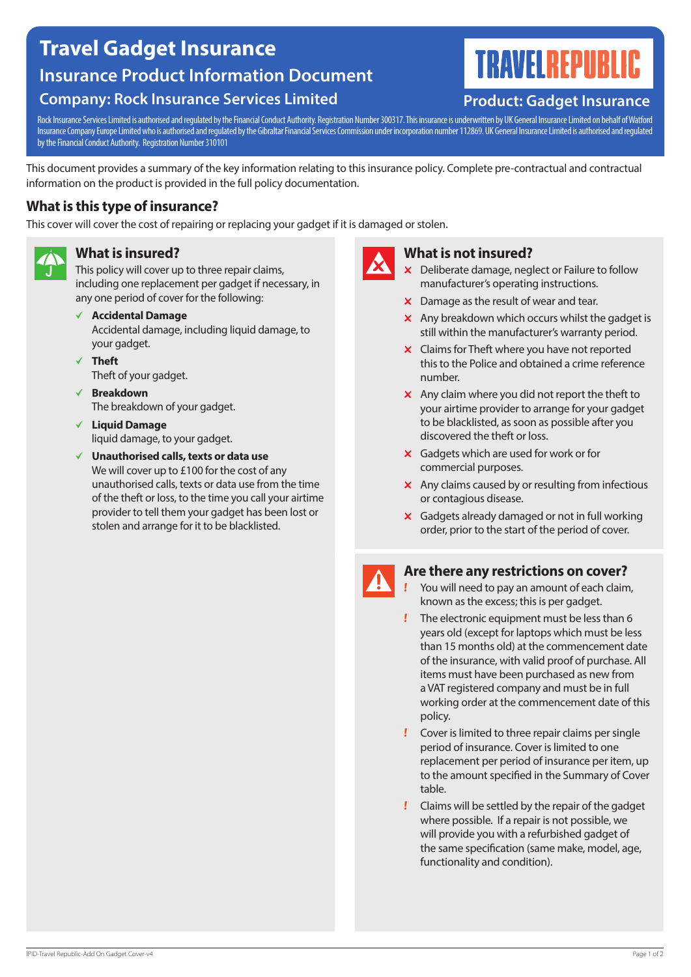# **Travel Gadget Insurance Insurance Product Information Document**

## **Company: Rock Insurance Services Limited**

# **TRAVELREPUBL**

### **Product: Gadget Insurance**

Rock Insurance Services Limited is authorised and regulated by the Financial Conduct Authority. Registration Number 300317. This insurance is underwritten by UK General Insurance Limited on behalf of Watford Insurance Company Europe Limited who is authorised and regulated by the Gibraltar Financial Services Commission under incorporation number 112869. UK General Insurance Limited is authorised and regulated by the Financial Conduct Authority. Registration Number 310101

This document provides a summary of the key information relating to this insurance policy. Complete pre-contractual and contractual information on the product is provided in the full policy documentation.

#### **What is this type of insurance?**

This cover will cover the cost of repairing or replacing your gadget if it is damaged or stolen.



#### **What is insured?**

This policy will cover up to three repair claims, including one replacement per gadget if necessary, in any one period of cover for the following:

b **Accidental Damage**

Accidental damage, including liquid damage, to your gadget.

- b **Theft** Theft of your gadget.
- b **Breakdown** The breakdown of your gadget.
- b **Liquid Damage** liquid damage, to your gadget.
- b **Unauthorised calls, texts or data use** We will cover up to £100 for the cost of any unauthorised calls, texts or data use from the time of the theft or loss, to the time you call your airtime provider to tell them your gadget has been lost or stolen and arrange for it to be blacklisted.



#### **What is not insured?**

- $\times$  Deliberate damage, neglect or Failure to follow manufacturer's operating instructions.
- $\times$  Damage as the result of wear and tear.
- $\times$  Any breakdown which occurs whilst the gadget is still within the manufacturer's warranty period.
- $\times$  Claims for Theft where you have not reported this to the Police and obtained a crime reference number.
- $\times$  Any claim where you did not report the theft to your airtime provider to arrange for your gadget to be blacklisted, as soon as possible after you discovered the theft or loss.
- $\boldsymbol{\times}$  Gadgets which are used for work or for commercial purposes.
- $\boldsymbol{\times}$  Any claims caused by or resulting from infectious or contagious disease.
- $\times$  Gadgets already damaged or not in full working order, prior to the start of the period of cover.

#### **Are there any restrictions on cover?**

- You will need to pay an amount of each claim, known as the excess; this is per gadget.
	- The electronic equipment must be less than 6 years old (except for laptops which must be less than 15 months old) at the commencement date of the insurance, with valid proof of purchase. All items must have been purchased as new from a VAT registered company and must be in full working order at the commencement date of this policy.
- Cover is limited to three repair claims per single period of insurance. Cover is limited to one replacement per period of insurance per item, up to the amount specified in the Summary of Cover table.
- Claims will be settled by the repair of the gadget where possible. If a repair is not possible, we will provide you with a refurbished gadget of the same specification (same make, model, age, functionality and condition).